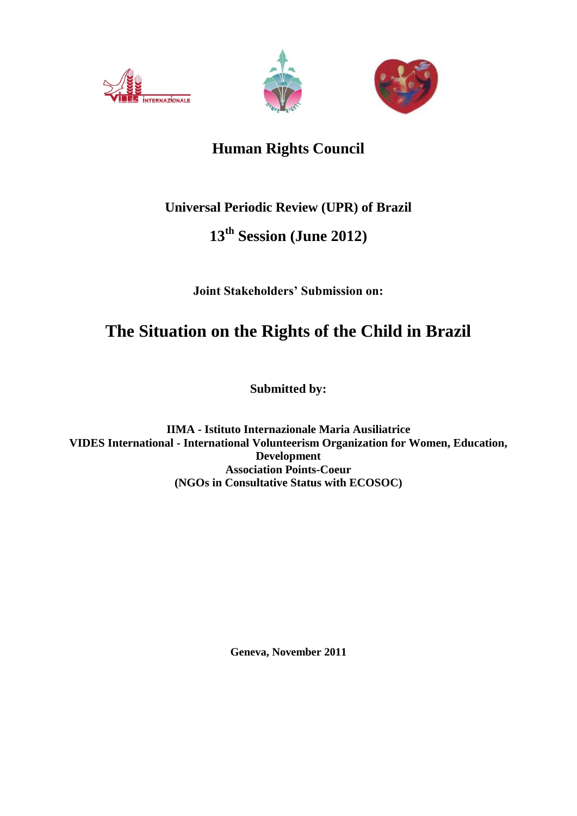





## **Human Rights Council**

### **Universal Periodic Review (UPR) of Brazil**

## **13th Session (June 2012)**

### **Joint Stakeholders' Submission on:**

# **The Situation on the Rights of the Child in Brazil**

**Submitted by:**

**IIMA - Istituto Internazionale Maria Ausiliatrice VIDES International - International Volunteerism Organization for Women, Education, Development Association Points-Coeur (NGOs in Consultative Status with ECOSOC)**

**Geneva, November 2011**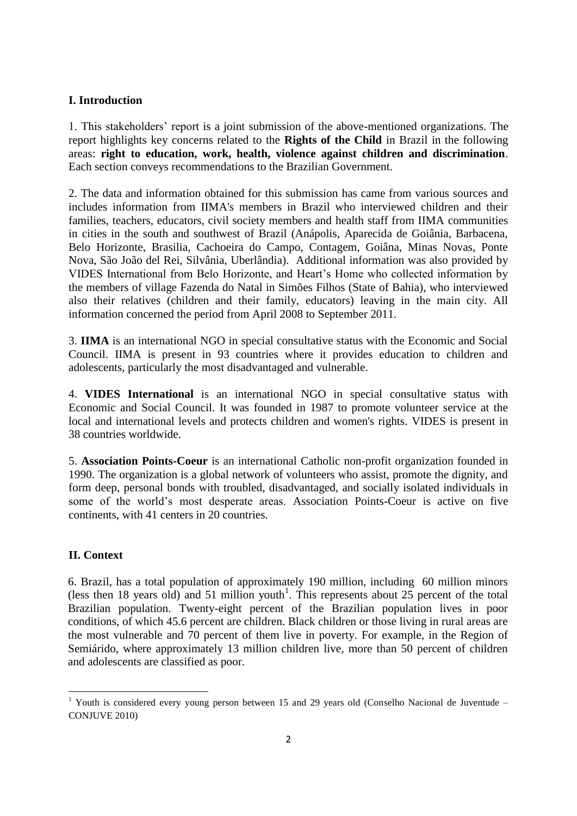#### **I. Introduction**

1. This stakeholders' report is a joint submission of the above-mentioned organizations. The report highlights key concerns related to the **Rights of the Child** in Brazil in the following areas: **right to education, work, health, violence against children and discrimination**. Each section conveys recommendations to the Brazilian Government.

2. The data and information obtained for this submission has came from various sources and includes information from IIMA's members in Brazil who interviewed children and their families, teachers, educators, civil society members and health staff from IIMA communities in cities in the south and southwest of Brazil (Anápolis, Aparecida de Goiânia, Barbacena, Belo Horizonte, Brasilia, Cachoeira do Campo, Contagem, Goiâna, Minas Novas, Ponte Nova, São João del Rei, Silvânia, Uberlândia). Additional information was also provided by VIDES International from Belo Horizonte, and Heart's Home who collected information by the members of village Fazenda do Natal in Simões Filhos (State of Bahia), who interviewed also their relatives (children and their family, educators) leaving in the main city. All information concerned the period from April 2008 to September 2011.

3. **IIMA** is an international NGO in special consultative status with the Economic and Social Council. IIMA is present in 93 countries where it provides education to children and adolescents, particularly the most disadvantaged and vulnerable.

4. **VIDES International** is an international NGO in special consultative status with Economic and Social Council. It was founded in 1987 to promote volunteer service at the local and international levels and protects children and women's rights. VIDES is present in 38 countries worldwide.

5. **Association Points-Coeur** is an international Catholic non-profit organization founded in 1990. The organization is a global network of volunteers who assist, promote the dignity, and form deep, personal bonds with troubled, disadvantaged, and socially isolated individuals in some of the world's most desperate areas. Association Points-Coeur is active on five continents, with 41 centers in 20 countries.

#### **II. Context**

 $\overline{a}$ 

6. Brazil, has a total population of approximately 190 million, including 60 million minors (less then 18 years old) and 51 million youth<sup>1</sup>. This represents about 25 percent of the total Brazilian population. Twenty-eight percent of the Brazilian population lives in poor conditions, of which 45.6 percent are children. Black children or those living in rural areas are the most vulnerable and 70 percent of them live in poverty. For example, in the Region of Semiárido, where approximately 13 million children live, more than 50 percent of children and adolescents are classified as poor.

 $1$  Youth is considered every young person between 15 and 29 years old (Conselho Nacional de Juventude – CONJUVE 2010)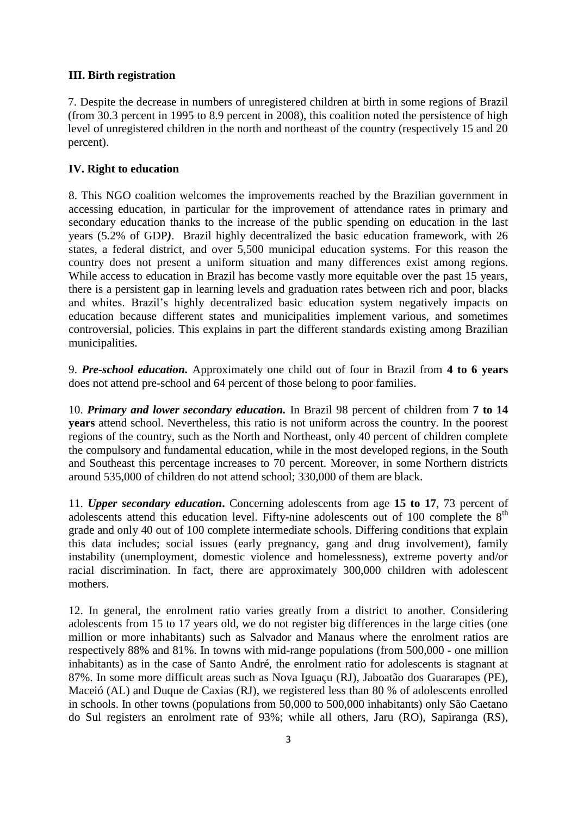#### **III. Birth registration**

7. Despite the decrease in numbers of unregistered children at birth in some regions of Brazil (from 30.3 percent in 1995 to 8.9 percent in 2008), this coalition noted the persistence of high level of unregistered children in the north and northeast of the country (respectively 15 and 20 percent).

#### **IV. Right to education**

8. This NGO coalition welcomes the improvements reached by the Brazilian government in accessing education, in particular for the improvement of attendance rates in primary and secondary education thanks to the increase of the public spending on education in the last years (5.2% of GDP*)*. Brazil highly decentralized the basic education framework, with 26 states, a federal district, and over 5,500 municipal education systems. For this reason the country does not present a uniform situation and many differences exist among regions. While access to education in Brazil has become vastly more equitable over the past 15 years, there is a persistent gap in learning levels and graduation rates between rich and poor, blacks and whites. Brazil's highly decentralized basic education system negatively impacts on education because different states and municipalities implement various, and sometimes controversial, policies. This explains in part the different standards existing among Brazilian municipalities.

9. *Pre-school education.* Approximately one child out of four in Brazil from **4 to 6 years** does not attend pre-school and 64 percent of those belong to poor families.

10. *Primary and lower secondary education.* In Brazil 98 percent of children from **7 to 14 years** attend school. Nevertheless, this ratio is not uniform across the country. In the poorest regions of the country, such as the North and Northeast, only 40 percent of children complete the compulsory and fundamental education, while in the most developed regions, in the South and Southeast this percentage increases to 70 percent. Moreover, in some Northern districts around 535,000 of children do not attend school; 330,000 of them are black.

11. *Upper secondary education***.** Concerning adolescents from age **15 to 17**, 73 percent of adolescents attend this education level. Fifty-nine adolescents out of 100 complete the  $8<sup>th</sup>$ grade and only 40 out of 100 complete intermediate schools. Differing conditions that explain this data includes; social issues (early pregnancy, gang and drug involvement), family instability (unemployment, domestic violence and homelessness), extreme poverty and/or racial discrimination. In fact, there are approximately 300,000 children with adolescent mothers.

12. In general, the enrolment ratio varies greatly from a district to another. Considering adolescents from 15 to 17 years old, we do not register big differences in the large cities (one million or more inhabitants) such as Salvador and Manaus where the enrolment ratios are respectively 88% and 81%. In towns with mid-range populations (from 500,000 - one million inhabitants) as in the case of Santo André, the enrolment ratio for adolescents is stagnant at 87%. In some more difficult areas such as Nova Iguaçu (RJ), Jaboatão dos Guararapes (PE), Maceió (AL) and Duque de Caxias (RJ), we registered less than 80 % of adolescents enrolled in schools. In other towns (populations from 50,000 to 500,000 inhabitants) only São Caetano do Sul registers an enrolment rate of 93%; while all others, Jaru (RO), Sapiranga (RS),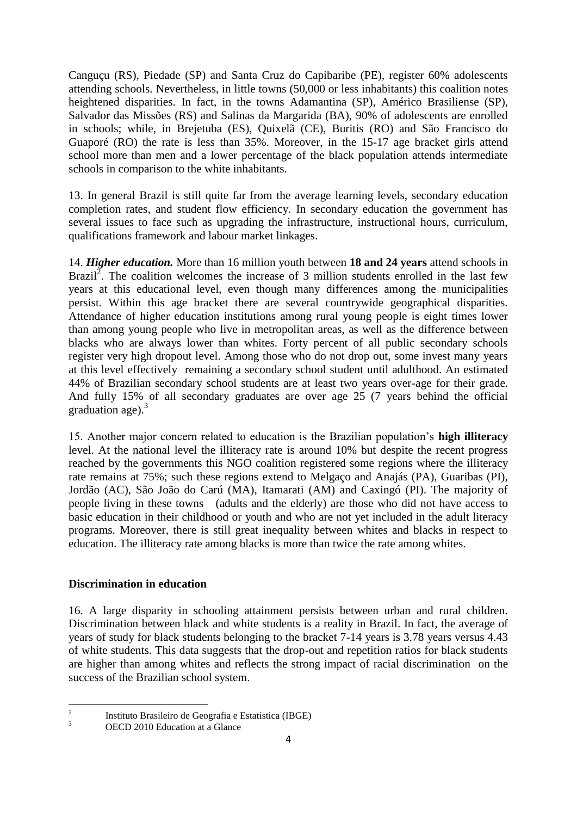Canguçu (RS), Piedade (SP) and Santa Cruz do Capibaribe (PE), register 60% adolescents attending schools. Nevertheless, in little towns (50,000 or less inhabitants) this coalition notes heightened disparities. In fact, in the towns Adamantina (SP), Américo Brasiliense (SP), Salvador das Missões (RS) and Salinas da Margarida (BA), 90% of adolescents are enrolled in schools; while, in Brejetuba (ES), Quixelã (CE), Buritis (RO) and São Francisco do Guaporé (RO) the rate is less than 35%. Moreover, in the 15-17 age bracket girls attend school more than men and a lower percentage of the black population attends intermediate schools in comparison to the white inhabitants.

13. In general Brazil is still quite far from the average learning levels, secondary education completion rates, and student flow efficiency. In secondary education the government has several issues to face such as upgrading the infrastructure, instructional hours, curriculum, qualifications framework and labour market linkages.

14. *Higher education.* More than 16 million youth between **18 and 24 years** attend schools in Brazil<sup>2</sup>. The coalition welcomes the increase of 3 million students enrolled in the last few years at this educational level, even though many differences among the municipalities persist. Within this age bracket there are several countrywide geographical disparities. Attendance of higher education institutions among rural young people is eight times lower than among young people who live in metropolitan areas, as well as the difference between blacks who are always lower than whites. Forty percent of all public secondary schools register very high dropout level. Among those who do not drop out, some invest many years at this level effectively remaining a secondary school student until adulthood. An estimated 44% of Brazilian secondary school students are at least two years over-age for their grade. And fully 15% of all secondary graduates are over age 25 (7 years behind the official graduation age). $3<sup>3</sup>$ 

15. Another major concern related to education is the Brazilian population's **high illiteracy**  level. At the national level the illiteracy rate is around 10% but despite the recent progress reached by the governments this NGO coalition registered some regions where the illiteracy rate remains at 75%; such these regions extend to Melgaço and Anajás (PA), Guaribas (PI), Jordão (AC), São João do Carú (MA), Itamarati (AM) and Caxingó (PI). The majority of people living in these towns (adults and the elderly) are those who did not have access to basic education in their childhood or youth and who are not yet included in the adult literacy programs. Moreover, there is still great inequality between whites and blacks in respect to education. The illiteracy rate among blacks is more than twice the rate among whites.

#### **Discrimination in education**

16. A large disparity in schooling attainment persists between urban and rural children. Discrimination between black and white students is a reality in Brazil. In fact, the average of years of study for black students belonging to the bracket 7-14 years is 3.78 years versus 4.43 of white students. This data suggests that the drop-out and repetition ratios for black students are higher than among whites and reflects the strong impact of racial discrimination on the success of the Brazilian school system.

 $\frac{1}{2}$ 

Instituto Brasileiro de Geografia e Estatistica (IBGE)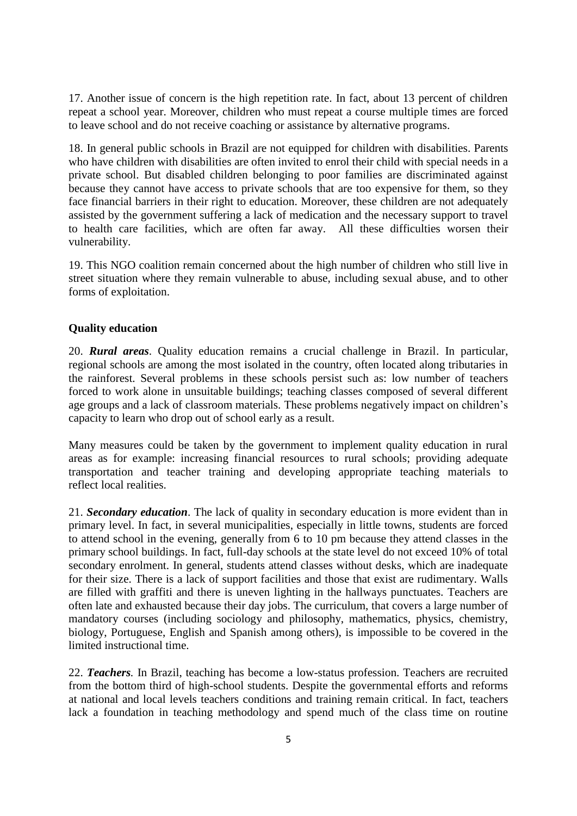17. Another issue of concern is the high repetition rate. In fact, about 13 percent of children repeat a school year. Moreover, children who must repeat a course multiple times are forced to leave school and do not receive coaching or assistance by alternative programs.

18. In general public schools in Brazil are not equipped for children with disabilities. Parents who have children with disabilities are often invited to enrol their child with special needs in a private school. But disabled children belonging to poor families are discriminated against because they cannot have access to private schools that are too expensive for them, so they face financial barriers in their right to education. Moreover, these children are not adequately assisted by the government suffering a lack of medication and the necessary support to travel to health care facilities, which are often far away. All these difficulties worsen their vulnerability.

19. This NGO coalition remain concerned about the high number of children who still live in street situation where they remain vulnerable to abuse, including sexual abuse, and to other forms of exploitation.

#### **Quality education**

20. *Rural areas*. Quality education remains a crucial challenge in Brazil. In particular, regional schools are among the most isolated in the country, often located along tributaries in the rainforest. Several problems in these schools persist such as: low number of teachers forced to work alone in unsuitable buildings; teaching classes composed of several different age groups and a lack of classroom materials. These problems negatively impact on children's capacity to learn who drop out of school early as a result.

Many measures could be taken by the government to implement quality education in rural areas as for example: increasing financial resources to rural schools; providing adequate transportation and teacher training and developing appropriate teaching materials to reflect local realities.

21. *Secondary education*. The lack of quality in secondary education is more evident than in primary level. In fact, in several municipalities, especially in little towns, students are forced to attend school in the evening, generally from 6 to 10 pm because they attend classes in the primary school buildings. In fact, full-day schools at the state level do not exceed 10% of total secondary enrolment. In general, students attend classes without desks, which are inadequate for their size. There is a lack of support facilities and those that exist are rudimentary. Walls are filled with graffiti and there is uneven lighting in the hallways punctuates. Teachers are often late and exhausted because their day jobs. The curriculum, that covers a large number of mandatory courses (including sociology and philosophy, mathematics, physics, chemistry, biology, Portuguese, English and Spanish among others), is impossible to be covered in the limited instructional time.

22. *Teachers.* In Brazil, teaching has become a low-status profession. Teachers are recruited from the bottom third of high-school students. Despite the governmental efforts and reforms at national and local levels teachers conditions and training remain critical. In fact, teachers lack a foundation in teaching methodology and spend much of the class time on routine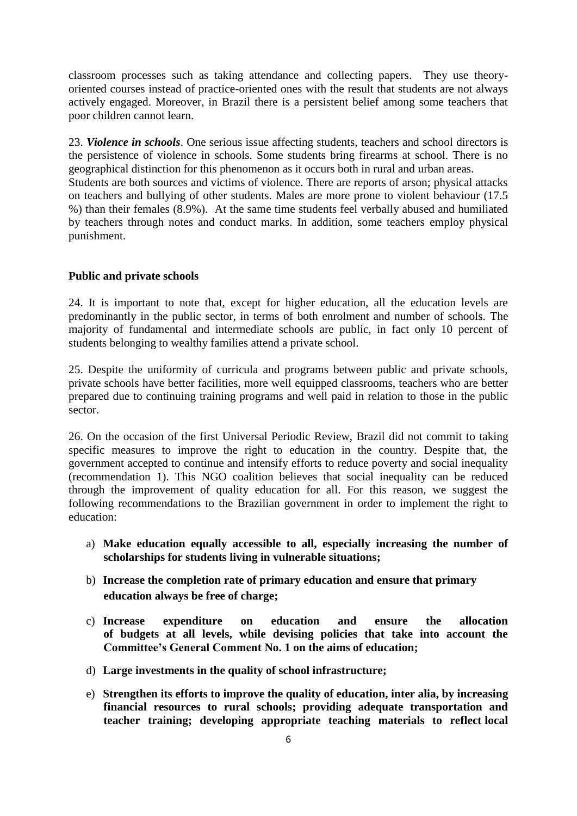classroom processes such as taking attendance and collecting papers. They use theoryoriented courses instead of practice-oriented ones with the result that students are not always actively engaged. Moreover, in Brazil there is a persistent belief among some teachers that poor children cannot learn.

23. *Violence in schools*. One serious issue affecting students, teachers and school directors is the persistence of violence in schools. Some students bring firearms at school. There is no geographical distinction for this phenomenon as it occurs both in rural and urban areas. Students are both sources and victims of violence. There are reports of arson; physical attacks on teachers and bullying of other students. Males are more prone to violent behaviour (17.5 %) than their females (8.9%). At the same time students feel verbally abused and humiliated by teachers through notes and conduct marks. In addition, some teachers employ physical punishment.

#### **Public and private schools**

24. It is important to note that, except for higher education, all the education levels are predominantly in the public sector, in terms of both enrolment and number of schools. The majority of fundamental and intermediate schools are public, in fact only 10 percent of students belonging to wealthy families attend a private school.

25. Despite the uniformity of curricula and programs between public and private schools, private schools have better facilities, more well equipped classrooms, teachers who are better prepared due to continuing training programs and well paid in relation to those in the public sector.

26. On the occasion of the first Universal Periodic Review, Brazil did not commit to taking specific measures to improve the right to education in the country. Despite that, the government accepted to continue and intensify efforts to reduce poverty and social inequality (recommendation 1). This NGO coalition believes that social inequality can be reduced through the improvement of quality education for all. For this reason, we suggest the following recommendations to the Brazilian government in order to implement the right to education:

- a) **Make education equally accessible to all, especially increasing the number of scholarships for students living in vulnerable situations;**
- b) **Increase the completion rate of primary education and ensure that primary education always be free of charge;**
- c) **Increase expenditure on education and ensure the allocation of budgets at all levels, while devising policies that take into account the Committee's General Comment No. 1 on the aims of education;**
- d) **Large investments in the quality of school infrastructure;**
- e) **Strengthen its efforts to improve the quality of education, inter alia, by increasing financial resources to rural schools; providing adequate transportation and teacher training; developing appropriate teaching materials to reflect local**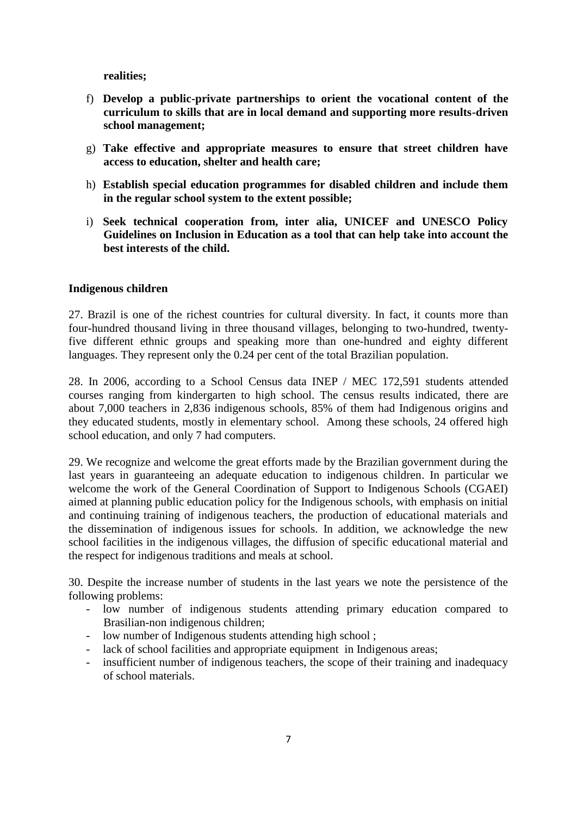**realities;**

- f) **Develop a public-private partnerships to orient the vocational content of the curriculum to skills that are in local demand and supporting more results-driven school management;**
- g) **Take effective and appropriate measures to ensure that street children have access to education, shelter and health care;**
- h) **Establish special education programmes for disabled children and include them in the regular school system to the extent possible;**
- i) **Seek technical cooperation from, inter alia, UNICEF and UNESCO Policy Guidelines on Inclusion in Education as a tool that can help take into account the best interests of the child.**

#### **Indigenous children**

27. Brazil is one of the richest countries for cultural diversity. In fact, it counts more than four-hundred thousand living in three thousand villages, belonging to two-hundred, twentyfive different ethnic groups and speaking more than one-hundred and eighty different languages. They represent only the 0.24 per cent of the total Brazilian population.

28. In 2006, according to a School Census data INEP / MEC 172,591 students attended courses ranging from kindergarten to high school. The census results indicated, there are about 7,000 teachers in 2,836 indigenous schools, 85% of them had Indigenous origins and they educated students, mostly in elementary school. Among these schools, 24 offered high school education, and only 7 had computers.

29. We recognize and welcome the great efforts made by the Brazilian government during the last years in guaranteeing an adequate education to indigenous children. In particular we welcome the work of the General Coordination of Support to Indigenous Schools (CGAEI) aimed at planning public education policy for the Indigenous schools, with emphasis on initial and continuing training of indigenous teachers, the production of educational materials and the dissemination of indigenous issues for schools. In addition, we acknowledge the new school facilities in the indigenous villages, the diffusion of specific educational material and the respect for indigenous traditions and meals at school.

30. Despite the increase number of students in the last years we note the persistence of the following problems:

- low number of indigenous students attending primary education compared to Brasilian-non indigenous children;
- low number of Indigenous students attending high school ;
- lack of school facilities and appropriate equipment in Indigenous areas;
- insufficient number of indigenous teachers, the scope of their training and inadequacy of school materials.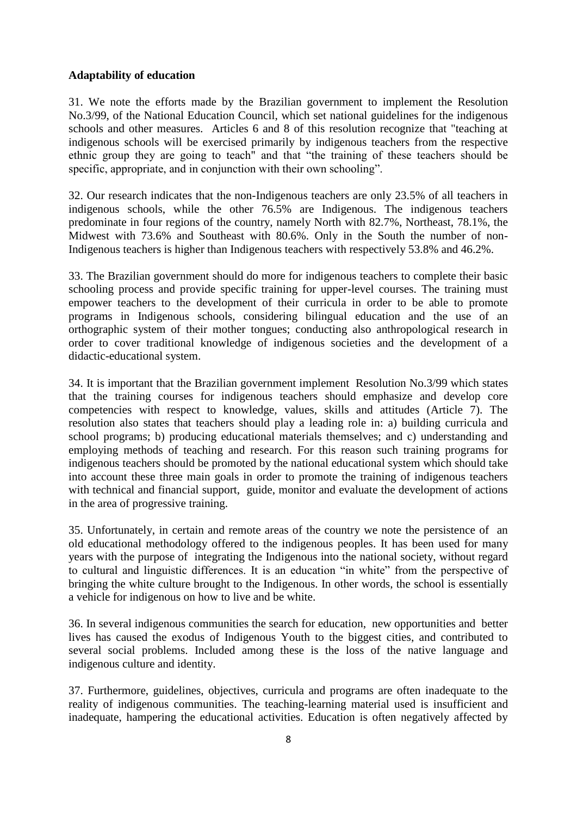#### **Adaptability of education**

31. We note the efforts made by the Brazilian government to implement the Resolution No.3/99, of the National Education Council, which set national guidelines for the indigenous schools and other measures. Articles 6 and 8 of this resolution recognize that "teaching at indigenous schools will be exercised primarily by indigenous teachers from the respective ethnic group they are going to teach" and that "the training of these teachers should be specific, appropriate, and in conjunction with their own schooling".

32. Our research indicates that the non-Indigenous teachers are only 23.5% of all teachers in indigenous schools, while the other 76.5% are Indigenous. The indigenous teachers predominate in four regions of the country, namely North with 82.7%, Northeast, 78.1%, the Midwest with 73.6% and Southeast with 80.6%. Only in the South the number of non-Indigenous teachers is higher than Indigenous teachers with respectively 53.8% and 46.2%.

33. The Brazilian government should do more for indigenous teachers to complete their basic schooling process and provide specific training for upper-level courses. The training must empower teachers to the development of their curricula in order to be able to promote programs in Indigenous schools, considering bilingual education and the use of an orthographic system of their mother tongues; conducting also anthropological research in order to cover traditional knowledge of indigenous societies and the development of a didactic-educational system.

34. It is important that the Brazilian government implement Resolution No.3/99 which states that the training courses for indigenous teachers should emphasize and develop core competencies with respect to knowledge, values, skills and attitudes (Article 7). The resolution also states that teachers should play a leading role in: a) building curricula and school programs; b) producing educational materials themselves; and c) understanding and employing methods of teaching and research. For this reason such training programs for indigenous teachers should be promoted by the national educational system which should take into account these three main goals in order to promote the training of indigenous teachers with technical and financial support, guide, monitor and evaluate the development of actions in the area of progressive training.

35. Unfortunately, in certain and remote areas of the country we note the persistence of an old educational methodology offered to the indigenous peoples. It has been used for many years with the purpose of integrating the Indigenous into the national society, without regard to cultural and linguistic differences. It is an education "in white" from the perspective of bringing the white culture brought to the Indigenous. In other words, the school is essentially a vehicle for indigenous on how to live and be white.

36. In several indigenous communities the search for education, new opportunities and better lives has caused the exodus of Indigenous Youth to the biggest cities, and contributed to several social problems. Included among these is the loss of the native language and indigenous culture and identity.

37. Furthermore, guidelines, objectives, curricula and programs are often inadequate to the reality of indigenous communities. The teaching-learning material used is insufficient and inadequate, hampering the educational activities. Education is often negatively affected by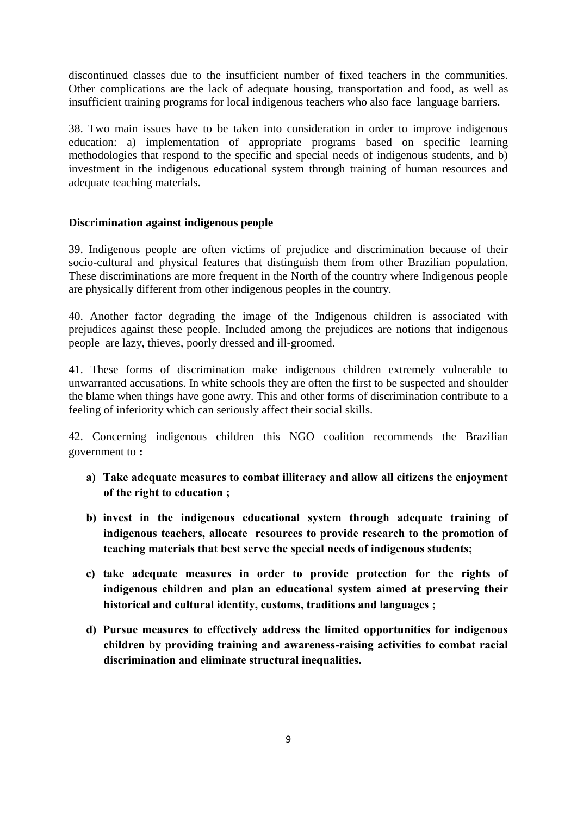discontinued classes due to the insufficient number of fixed teachers in the communities. Other complications are the lack of adequate housing, transportation and food, as well as insufficient training programs for local indigenous teachers who also face language barriers.

38. Two main issues have to be taken into consideration in order to improve indigenous education: a) implementation of appropriate programs based on specific learning methodologies that respond to the specific and special needs of indigenous students, and b) investment in the indigenous educational system through training of human resources and adequate teaching materials.

#### **Discrimination against indigenous people**

39. Indigenous people are often victims of prejudice and discrimination because of their socio-cultural and physical features that distinguish them from other Brazilian population. These discriminations are more frequent in the North of the country where Indigenous people are physically different from other indigenous peoples in the country.

40. Another factor degrading the image of the Indigenous children is associated with prejudices against these people. Included among the prejudices are notions that indigenous people are lazy, thieves, poorly dressed and ill-groomed.

41. These forms of discrimination make indigenous children extremely vulnerable to unwarranted accusations. In white schools they are often the first to be suspected and shoulder the blame when things have gone awry. This and other forms of discrimination contribute to a feeling of inferiority which can seriously affect their social skills.

42. Concerning indigenous children this NGO coalition recommends the Brazilian government to **:**

- **a) Take adequate measures to combat illiteracy and allow all citizens the enjoyment of the right to education ;**
- **b) invest in the indigenous educational system through adequate training of indigenous teachers, allocate resources to provide research to the promotion of teaching materials that best serve the special needs of indigenous students;**
- **c) take adequate measures in order to provide protection for the rights of indigenous children and plan an educational system aimed at preserving their historical and cultural identity, customs, traditions and languages ;**
- **d) Pursue measures to effectively address the limited opportunities for indigenous children by providing training and awareness-raising activities to combat racial discrimination and eliminate structural inequalities.**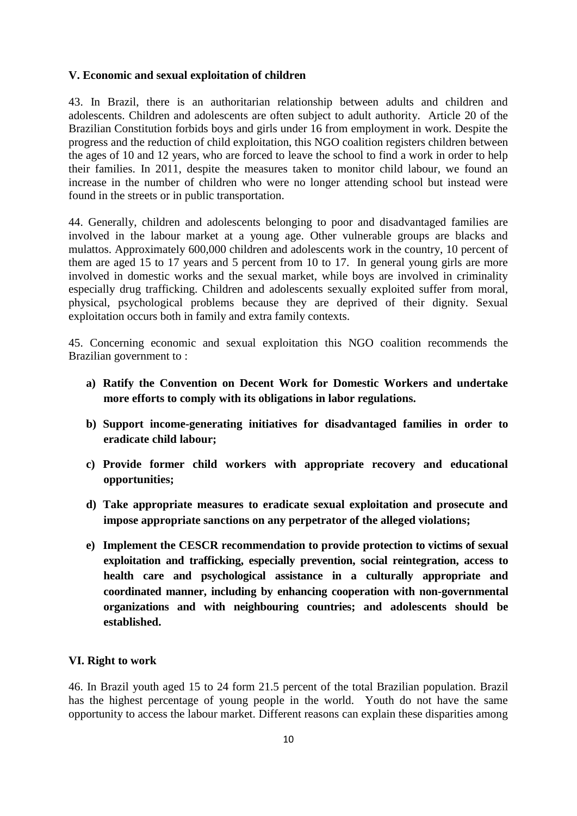#### **V. Economic and sexual exploitation of children**

43. In Brazil, there is an authoritarian relationship between adults and children and adolescents. Children and adolescents are often subject to adult authority. Article 20 of the Brazilian Constitution forbids boys and girls under 16 from employment in work. Despite the progress and the reduction of child exploitation, this NGO coalition registers children between the ages of 10 and 12 years, who are forced to leave the school to find a work in order to help their families. In 2011, despite the measures taken to monitor child labour, we found an increase in the number of children who were no longer attending school but instead were found in the streets or in public transportation.

44. Generally, children and adolescents belonging to poor and disadvantaged families are involved in the labour market at a young age. Other vulnerable groups are blacks and mulattos. Approximately 600,000 children and adolescents work in the country, 10 percent of them are aged 15 to 17 years and 5 percent from 10 to 17. In general young girls are more involved in domestic works and the sexual market, while boys are involved in criminality especially drug trafficking. Children and adolescents sexually exploited suffer from moral, physical, psychological problems because they are deprived of their dignity. Sexual exploitation occurs both in family and extra family contexts.

45. Concerning economic and sexual exploitation this NGO coalition recommends the Brazilian government to :

- **a) Ratify the Convention on Decent Work for Domestic Workers and undertake more efforts to comply with its obligations in labor regulations.**
- **b) Support income-generating initiatives for disadvantaged families in order to eradicate child labour;**
- **c) Provide former child workers with appropriate recovery and educational opportunities;**
- **d) Take appropriate measures to eradicate sexual exploitation and prosecute and impose appropriate sanctions on any perpetrator of the alleged violations;**
- **e) Implement the CESCR recommendation to provide protection to victims of sexual exploitation and trafficking, especially prevention, social reintegration, access to health care and psychological assistance in a culturally appropriate and coordinated manner, including by enhancing cooperation with non-governmental organizations and with neighbouring countries; and adolescents should be established.**

#### **VI. Right to work**

46. In Brazil youth aged 15 to 24 form 21.5 percent of the total Brazilian population. Brazil has the highest percentage of young people in the world. Youth do not have the same opportunity to access the labour market. Different reasons can explain these disparities among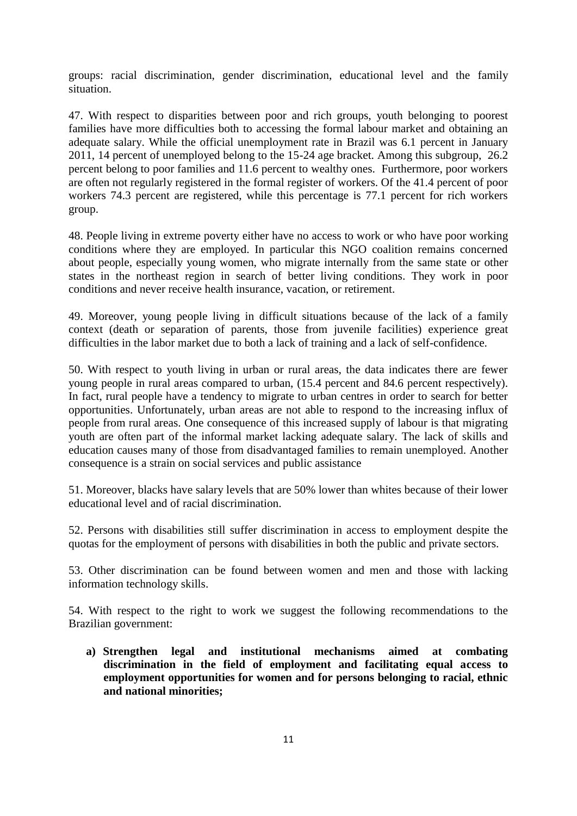groups: racial discrimination, gender discrimination, educational level and the family situation.

47. With respect to disparities between poor and rich groups, youth belonging to poorest families have more difficulties both to accessing the formal labour market and obtaining an adequate salary. While the official unemployment rate in Brazil was 6.1 percent in January 2011, 14 percent of unemployed belong to the 15-24 age bracket. Among this subgroup, 26.2 percent belong to poor families and 11.6 percent to wealthy ones. Furthermore, poor workers are often not regularly registered in the formal register of workers. Of the 41.4 percent of poor workers 74.3 percent are registered, while this percentage is 77.1 percent for rich workers group.

48. People living in extreme poverty either have no access to work or who have poor working conditions where they are employed. In particular this NGO coalition remains concerned about people, especially young women, who migrate internally from the same state or other states in the northeast region in search of better living conditions. They work in poor conditions and never receive health insurance, vacation, or retirement.

49. Moreover, young people living in difficult situations because of the lack of a family context (death or separation of parents, those from juvenile facilities) experience great difficulties in the labor market due to both a lack of training and a lack of self-confidence.

50. With respect to youth living in urban or rural areas, the data indicates there are fewer young people in rural areas compared to urban, (15.4 percent and 84.6 percent respectively). In fact, rural people have a tendency to migrate to urban centres in order to search for better opportunities. Unfortunately, urban areas are not able to respond to the increasing influx of people from rural areas. One consequence of this increased supply of labour is that migrating youth are often part of the informal market lacking adequate salary. The lack of skills and education causes many of those from disadvantaged families to remain unemployed. Another consequence is a strain on social services and public assistance

51. Moreover, blacks have salary levels that are 50% lower than whites because of their lower educational level and of racial discrimination.

52. Persons with disabilities still suffer discrimination in access to employment despite the quotas for the employment of persons with disabilities in both the public and private sectors.

53. Other discrimination can be found between women and men and those with lacking information technology skills.

54. With respect to the right to work we suggest the following recommendations to the Brazilian government:

**a) Strengthen legal and institutional mechanisms aimed at combating discrimination in the field of employment and facilitating equal access to employment opportunities for women and for persons belonging to racial, ethnic and national minorities;**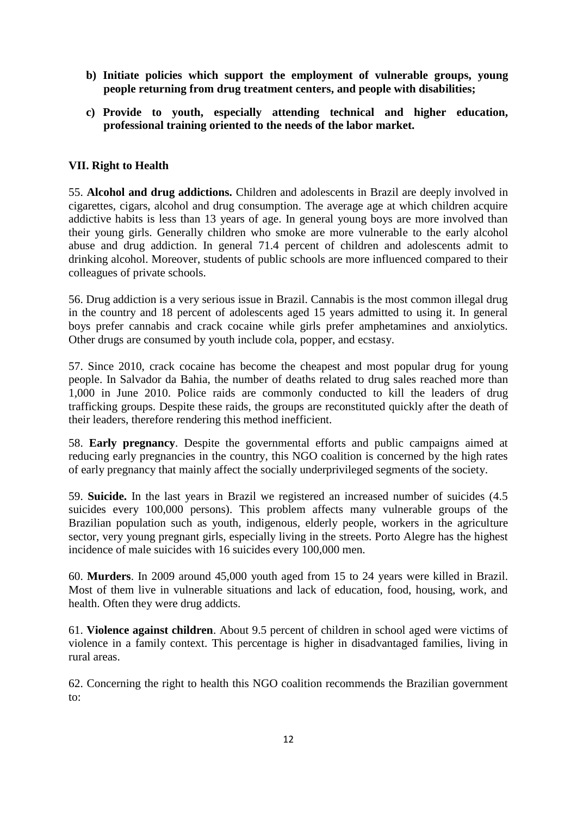- **b) Initiate policies which support the employment of vulnerable groups, young people returning from drug treatment centers, and people with disabilities;**
- **c) Provide to youth, especially attending technical and higher education, professional training oriented to the needs of the labor market.**

#### **VII. Right to Health**

55. **Alcohol and drug addictions.** Children and adolescents in Brazil are deeply involved in cigarettes, cigars, alcohol and drug consumption. The average age at which children acquire addictive habits is less than 13 years of age. In general young boys are more involved than their young girls. Generally children who smoke are more vulnerable to the early alcohol abuse and drug addiction. In general 71.4 percent of children and adolescents admit to drinking alcohol. Moreover, students of public schools are more influenced compared to their colleagues of private schools.

56. Drug addiction is a very serious issue in Brazil. Cannabis is the most common illegal drug in the country and 18 percent of adolescents aged 15 years admitted to using it. In general boys prefer cannabis and crack cocaine while girls prefer amphetamines and anxiolytics. Other drugs are consumed by youth include cola, popper, and ecstasy.

57. Since 2010, crack cocaine has become the cheapest and most popular drug for young people. In Salvador da Bahia, the number of deaths related to drug sales reached more than 1,000 in June 2010. Police raids are commonly conducted to kill the leaders of drug trafficking groups. Despite these raids, the groups are reconstituted quickly after the death of their leaders, therefore rendering this method inefficient.

58. **Early pregnancy**. Despite the governmental efforts and public campaigns aimed at reducing early pregnancies in the country, this NGO coalition is concerned by the high rates of early pregnancy that mainly affect the socially underprivileged segments of the society.

59. **Suicide.** In the last years in Brazil we registered an increased number of suicides (4.5 suicides every 100,000 persons). This problem affects many vulnerable groups of the Brazilian population such as youth, indigenous, elderly people, workers in the agriculture sector, very young pregnant girls, especially living in the streets. Porto Alegre has the highest incidence of male suicides with 16 suicides every 100,000 men.

60. **Murders**. In 2009 around 45,000 youth aged from 15 to 24 years were killed in Brazil. Most of them live in vulnerable situations and lack of education, food, housing, work, and health. Often they were drug addicts.

61. **Violence against children**. About 9.5 percent of children in school aged were victims of violence in a family context. This percentage is higher in disadvantaged families, living in rural areas.

62. Concerning the right to health this NGO coalition recommends the Brazilian government to: